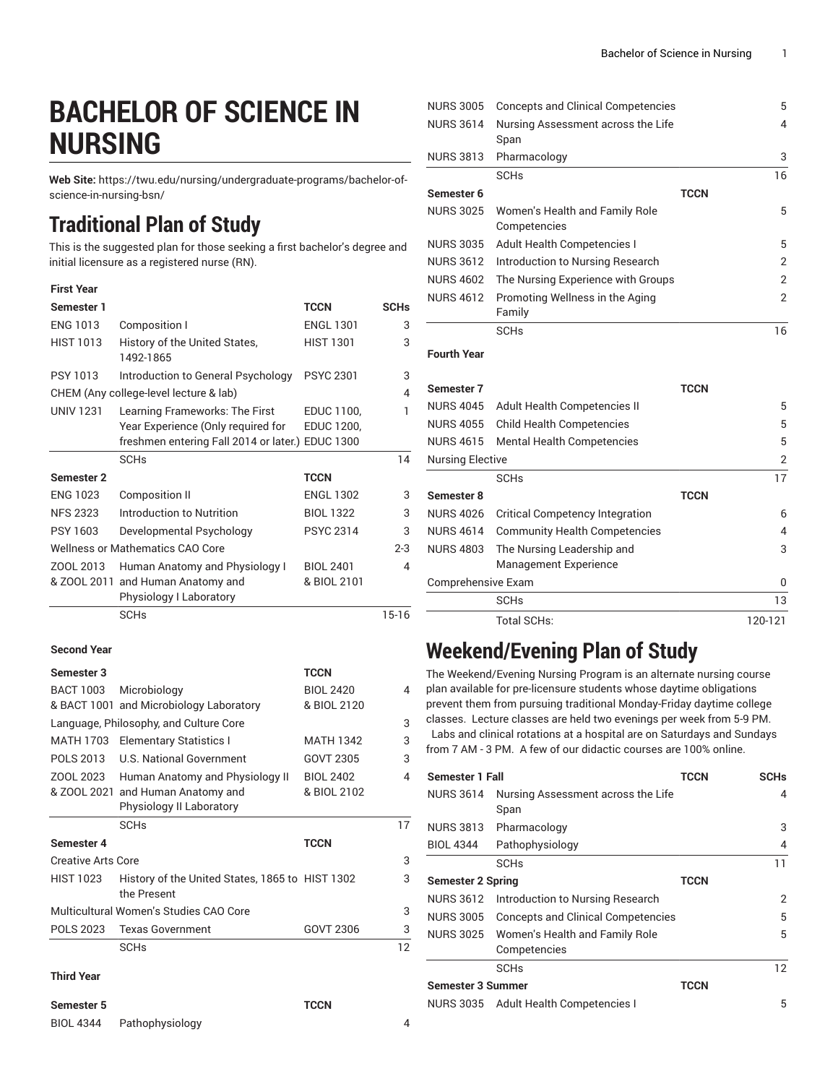# **BACHELOR OF SCIENCE IN NURSING**

**Web Site:** https://twu.edu/nursing/undergraduate-programs/bachelor-ofscience-in-nursing-bsn/

## **Traditional Plan of Study**

This is the suggested plan for those seeking a first bachelor's degree and initial licensure as a registered nurse (RN).

| <b>First Year</b> |                                                  |                  |             |
|-------------------|--------------------------------------------------|------------------|-------------|
| Semester 1        |                                                  | <b>TCCN</b>      | <b>SCHs</b> |
| <b>ENG 1013</b>   | Composition I                                    | <b>ENGL 1301</b> | 3           |
| <b>HIST 1013</b>  | History of the United States,<br>1492-1865       | <b>HIST 1301</b> | 3           |
| PSY 1013          | Introduction to General Psychology               | <b>PSYC 2301</b> | 3           |
|                   | CHEM (Any college-level lecture & lab)           |                  | 4           |
| <b>UNIV 1231</b>  | Learning Frameworks: The First                   | EDUC 1100,       | 1           |
|                   | Year Experience (Only required for               | EDUC 1200,       |             |
|                   | freshmen entering Fall 2014 or later.) EDUC 1300 |                  |             |
|                   | <b>SCHs</b>                                      |                  | 14          |
| Semester 2        |                                                  | <b>TCCN</b>      |             |
| <b>ENG 1023</b>   | <b>Composition II</b>                            | <b>ENGL 1302</b> | 3           |
| <b>NFS 2323</b>   | Introduction to Nutrition                        | <b>BIOL 1322</b> | 3           |
| PSY 1603          | Developmental Psychology                         | <b>PSYC 2314</b> | 3           |
|                   | <b>Wellness or Mathematics CAO Core</b>          |                  | $2 - 3$     |
| ZOOL 2013         | Human Anatomy and Physiology I                   | <b>BIOL 2401</b> | 4           |
| & ZOOL 2011       | and Human Anatomy and                            | & BIOL 2101      |             |
|                   | Physiology I Laboratory                          |                  |             |
|                   | <b>SCHs</b>                                      |                  | $15-16$     |

#### **Second Year**

| Semester 3                |                                                                | <b>TCCN</b>      |    |
|---------------------------|----------------------------------------------------------------|------------------|----|
| <b>BACT 1003</b>          | Microbiology                                                   | <b>BIOL 2420</b> | 4  |
|                           | & BACT 1001 and Microbiology Laboratory                        | & BIOL 2120      |    |
|                           | Language, Philosophy, and Culture Core                         |                  | 3  |
| MATH 1703                 | <b>Elementary Statistics I</b>                                 | <b>MATH 1342</b> | 3  |
| POLS 2013                 | U.S. National Government                                       | GOVT 2305        | 3  |
| ZOOL 2023                 | Human Anatomy and Physiology II                                | <b>BIOL 2402</b> | 4  |
|                           | & ZOOL 2021 and Human Anatomy and                              | & BIOL 2102      |    |
|                           | Physiology II Laboratory                                       |                  |    |
|                           | <b>SCH<sub>s</sub></b>                                         |                  | 17 |
| Semester 4                |                                                                | <b>TCCN</b>      |    |
| <b>Creative Arts Core</b> |                                                                |                  | 3  |
| <b>HIST 1023</b>          | History of the United States, 1865 to HIST 1302<br>the Present |                  | 3  |
|                           | Multicultural Women's Studies CAO Core                         |                  | 3  |
| POLS 2023                 | <b>Texas Government</b>                                        | GOVT 2306        | 3  |
|                           |                                                                |                  |    |
|                           | <b>SCH<sub>s</sub></b>                                         |                  | 12 |

#### **Third Year**

**Semester 5 TCCN**

BIOL 4344 Pathophysiology 4

| <b>NURS 3005</b>   | <b>Concepts and Clinical Competencies</b>      | 5           |
|--------------------|------------------------------------------------|-------------|
| <b>NURS 3614</b>   | Nursing Assessment across the Life<br>Span     | 4           |
| <b>NURS 3813</b>   | Pharmacology                                   | 3           |
|                    | <b>SCHs</b>                                    | 16          |
| Semester 6         |                                                | <b>TCCN</b> |
| <b>NURS 3025</b>   | Women's Health and Family Role<br>Competencies | 5           |
| <b>NURS 3035</b>   | Adult Health Competencies I                    | 5           |
| <b>NURS 3612</b>   | Introduction to Nursing Research               | 2           |
| <b>NURS 4602</b>   | The Nursing Experience with Groups             | 2           |
| <b>NURS 4612</b>   | Promoting Wellness in the Aging<br>Family      | 2           |
|                    | <b>SCHs</b>                                    | 16          |
| <b>Fourth Year</b> |                                                |             |

### **Semester 7 TCCN** NURS 4045 Adult Health Competencies II 65 NURS 4055 Child Health Competencies 5 NURS 4615 Mental Health Competencies 5 Nursing Elective 2 SCHs and the set of the set of the set of the set of the set of the set of the set of the set of the set of th **Semester 8 TCCN** NURS 4026 Critical Competency Integration 6 NURS 4614 Community Health Competencies 4 NURS 4803 The Nursing Leadership and Management Experience 3 Comprehensive Exam 0 SCHs 2014 13 Total SCHs: 120-121

### **Weekend/Evening Plan of Study**

The Weekend/Evening Nursing Program is an alternate nursing course plan available for pre-licensure students whose daytime obligations prevent them from pursuing traditional Monday-Friday daytime college classes. Lecture classes are held two evenings per week from 5-9 PM. Labs and clinical rotations at a hospital are on Saturdays and Sundays from 7 AM - 3 PM. A few of our didactic courses are 100% online.

| <b>Semester 1 Fall</b>    |                                           | TCCN        | <b>SCHs</b>     |
|---------------------------|-------------------------------------------|-------------|-----------------|
| <b>NURS 3614</b>          | Nursing Assessment across the Life        |             | 4               |
|                           | Span                                      |             |                 |
| <b>NURS 3813</b>          | Pharmacology                              |             | 3               |
| <b>BIOL 4344</b>          | Pathophysiology                           |             | 4               |
|                           | <b>SCHs</b>                               |             | 11              |
| <b>Semester 2 Spring</b>  |                                           | <b>TCCN</b> |                 |
| <b>NURS 3612</b>          | Introduction to Nursing Research          |             | 2               |
| <b>NURS 3005</b>          | <b>Concepts and Clinical Competencies</b> |             | 5               |
| <b>NURS 3025</b>          | Women's Health and Family Role            |             | 5               |
|                           | Competencies                              |             |                 |
|                           | <b>SCHs</b>                               |             | $12 \ \mathrm{$ |
| TCCN<br>Semester 3 Summer |                                           |             |                 |
|                           | NURS 3035 Adult Health Competencies I     |             | 5               |